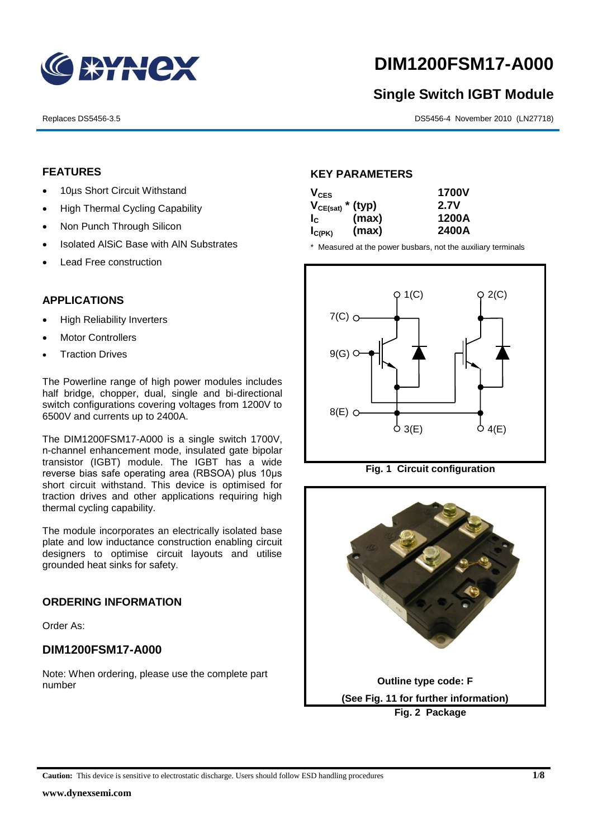

# **DIM1200FSM17-A000**

# **Single Switch IGBT Module**

Replaces DS5456-3.5 DS5456-4 November 2010 (LN27718)

#### **FEATURES**

- 10µs Short Circuit Withstand
- High Thermal Cycling Capability
- Non Punch Through Silicon
- Isolated AISiC Base with AIN Substrates
- Lead Free construction

## **APPLICATIONS**

- High Reliability Inverters
- Motor Controllers
- Traction Drives

The Powerline range of high power modules includes half bridge, chopper, dual, single and bi-directional switch configurations covering voltages from 1200V to 6500V and currents up to 2400A.

The DIM1200FSM17-A000 is a single switch 1700V, n-channel enhancement mode, insulated gate bipolar transistor (IGBT) module. The IGBT has a wide reverse bias safe operating area (RBSOA) plus 10μs short circuit withstand. This device is optimised for traction drives and other applications requiring high thermal cycling capability.

The module incorporates an electrically isolated base plate and low inductance construction enabling circuit designers to optimise circuit layouts and utilise grounded heat sinks for safety.

## **ORDERING INFORMATION**

Order As:

## **DIM1200FSM17-A000**

Note: When ordering, please use the complete part number

#### **KEY PARAMETERS**

| $V_{CES}$             |       | <b>1700V</b> |
|-----------------------|-------|--------------|
| $V_{CE(sat)}$ * (typ) |       | 2.7V         |
| $I_{\rm C}$           | (max) | 1200A        |
| $I_{C(PK)}$           | (max) | 2400A        |

\* Measured at the power busbars, not the auxiliary terminals





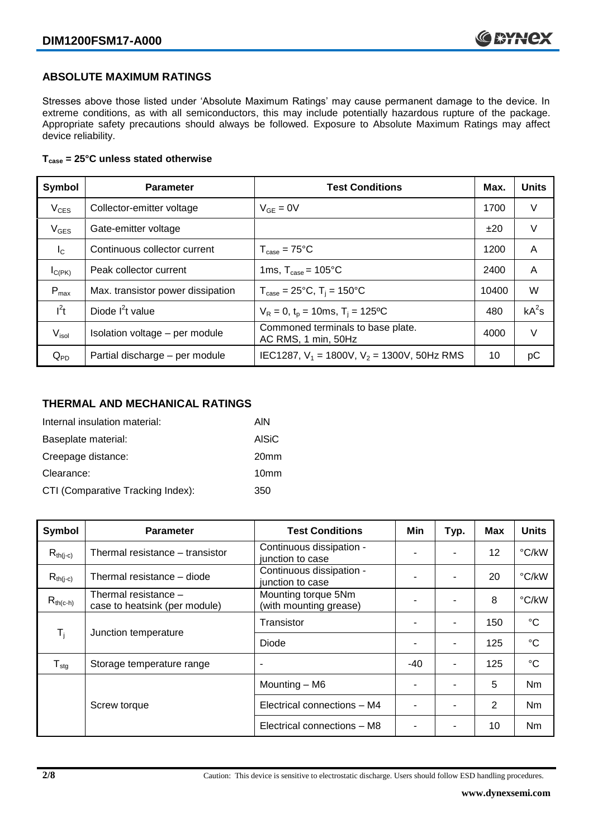## **ABSOLUTE MAXIMUM RATINGS**

Stresses above those listed under 'Absolute Maximum Ratings' may cause permanent damage to the device. In extreme conditions, as with all semiconductors, this may include potentially hazardous rupture of the package. Appropriate safety precautions should always be followed. Exposure to Absolute Maximum Ratings may affect device reliability.

#### **Tcase = 25°C unless stated otherwise**

| Symbol            | <b>Parameter</b>                  | <b>Test Conditions</b>                                   | Max.  | <b>Units</b> |
|-------------------|-----------------------------------|----------------------------------------------------------|-------|--------------|
| $V_{CES}$         | Collector-emitter voltage         | $V_{GF} = 0V$                                            | 1700  | V            |
| $V_{GES}$         | Gate-emitter voltage              |                                                          | ±20   | V            |
| $I_{\rm C}$       | Continuous collector current      | $T_{\text{case}} = 75^{\circ}\text{C}$                   | 1200  | A            |
| $I_{C(PK)}$       | Peak collector current            | 1ms, $T_{\text{case}} = 105^{\circ}$ C                   | 2400  | A            |
| $P_{\text{max}}$  | Max. transistor power dissipation | $T_{\text{case}} = 25^{\circ}C$ , $T_i = 150^{\circ}C$   | 10400 | W            |
| $I^2t$            | Diode $I^2t$ value                | $V_R = 0$ , $t_p = 10$ ms, $T_i = 125$ °C                | 480   | $kA^2s$      |
| V <sub>isol</sub> | Isolation voltage - per module    | Commoned terminals to base plate.<br>AC RMS, 1 min, 50Hz | 4000  | V            |
| $Q_{PD}$          | Partial discharge - per module    | IEC1287, $V_1$ = 1800V, $V_2$ = 1300V, 50Hz RMS          | 10    | рC           |

#### **THERMAL AND MECHANICAL RATINGS**

| Internal insulation material:     | AIN              |
|-----------------------------------|------------------|
| Baseplate material:               | <b>AISiC</b>     |
| Creepage distance:                | 20 <sub>mm</sub> |
| Clearance:                        | 10 <sub>mm</sub> |
| CTI (Comparative Tracking Index): | 350              |

| Symbol                     | <b>Parameter</b>                                      | <b>Test Conditions</b>                        | Min | Typ. | Max | <b>Units</b>    |
|----------------------------|-------------------------------------------------------|-----------------------------------------------|-----|------|-----|-----------------|
| $R_{th(j-c)}$              | Thermal resistance – transistor                       | Continuous dissipation -<br>junction to case  |     |      | 12  | °C/kW           |
| $R_{th(i-c)}$              | Thermal resistance - diode                            | Continuous dissipation -<br>junction to case  |     |      | 20  | °C/kW           |
| $R_{th(c-h)}$              | Thermal resistance -<br>case to heatsink (per module) | Mounting torque 5Nm<br>(with mounting grease) | ٠   |      | 8   | °C/kW           |
| $\mathsf{T}_{\mathsf{i}}$  |                                                       | Transistor                                    |     | ۰    | 150 | $^{\circ}C$     |
|                            | Junction temperature                                  | Diode                                         | ٠   | ۰    | 125 | $\rm ^{\circ}C$ |
| ${\mathsf T}_{\text{stg}}$ | Storage temperature range                             | $\overline{\phantom{a}}$                      | -40 | ۰    | 125 | $^{\circ}C$     |
|                            |                                                       | Mounting - M6                                 |     |      | 5   | <b>Nm</b>       |
|                            | Screw torque                                          | Electrical connections - M4                   |     |      | 2   | Nm              |
|                            |                                                       | Electrical connections - M8                   |     |      | 10  | Nm              |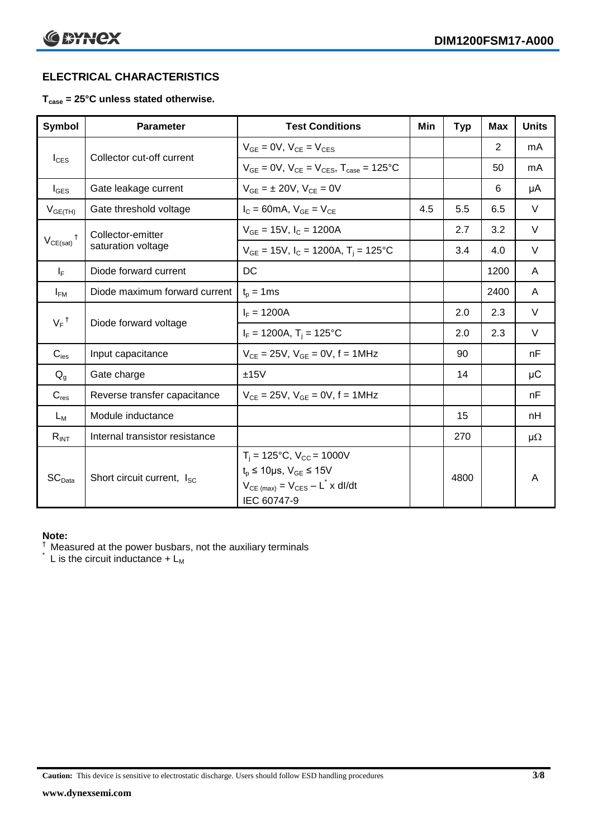# **ELECTRICAL CHARACTERISTICS**

#### **Tcase = 25°C unless stated otherwise.**

| Symbol             | <b>Parameter</b>                       | <b>Test Conditions</b>                                                                                                                           | Min | <b>Typ</b> | <b>Max</b> | <b>Units</b> |
|--------------------|----------------------------------------|--------------------------------------------------------------------------------------------------------------------------------------------------|-----|------------|------------|--------------|
| $I_{\text{CES}}$   | Collector cut-off current              | $V_{GF} = 0V$ , $V_{CF} = V_{CES}$                                                                                                               |     |            | 2          | mA           |
|                    |                                        | $V_{GF} = 0V$ , $V_{CF} = V_{CES}$ , $T_{case} = 125^{\circ}C$                                                                                   |     |            | 50         | mA           |
| $I_{\text{GES}}$   | Gate leakage current                   | $V_{GF} = \pm 20V$ , $V_{CF} = 0V$                                                                                                               |     |            | 6          | μA           |
| $V_{GE(TH)}$       | Gate threshold voltage                 | $I_c = 60mA$ , $V_{GE} = V_{CE}$                                                                                                                 | 4.5 | 5.5        | 6.5        | $\vee$       |
|                    | Collector-emitter                      | $V_{GF}$ = 15V, $I_C$ = 1200A                                                                                                                    |     | 2.7        | 3.2        | V            |
| $V_{CE(sat)}$      | saturation voltage                     | $V_{GE}$ = 15V, $I_C$ = 1200A, $T_i$ = 125°C                                                                                                     |     | 3.4        | 4.0        | V            |
| $I_F$              | Diode forward current                  | DC                                                                                                                                               |     |            | 1200       | A            |
| $I_{FM}$           | Diode maximum forward current          | $t_p = 1$ ms                                                                                                                                     |     |            | 2400       | A            |
| $V_F$ <sup>†</sup> | Diode forward voltage                  | $I_F = 1200A$                                                                                                                                    |     | 2.0        | 2.3        | $\vee$       |
|                    |                                        | $I_F = 1200A$ , $T_i = 125^{\circ}C$                                                                                                             |     | 2.0        | 2.3        | $\vee$       |
| $C_{\text{ies}}$   | Input capacitance                      | $V_{CE} = 25V$ , $V_{GE} = 0V$ , f = 1MHz                                                                                                        |     | 90         |            | nF           |
| $Q_{q}$            | Gate charge                            | ±15V                                                                                                                                             |     | 14         |            | μC           |
| $C_{res}$          | Reverse transfer capacitance           | $V_{CE} = 25V$ , $V_{GE} = 0V$ , f = 1MHz                                                                                                        |     |            |            | nF           |
| $L_M$              | Module inductance                      |                                                                                                                                                  |     | 15         |            | nH           |
| $R_{INT}$          | Internal transistor resistance         |                                                                                                                                                  |     | 270        |            | $\mu\Omega$  |
| SC <sub>Data</sub> | Short circuit current, I <sub>SC</sub> | $T_i = 125$ °C, $V_{CC} = 1000V$<br>$t_p \le 10 \mu s$ , $V_{GE} \le 15 V$<br>$V_{CE \text{ (max)}} = V_{CES} - L^* \times dl/dt$<br>IEC 60747-9 |     | 4800       |            | A            |

#### **Note:**

 $\dagger$  Measured at the power busbars, not the auxiliary terminals

 $\check{}$  L is the circuit inductance +  $L_M$ 

**Caution:** This device is sensitive to electrostatic discharge. Users should follow ESD handling procedures **3/8**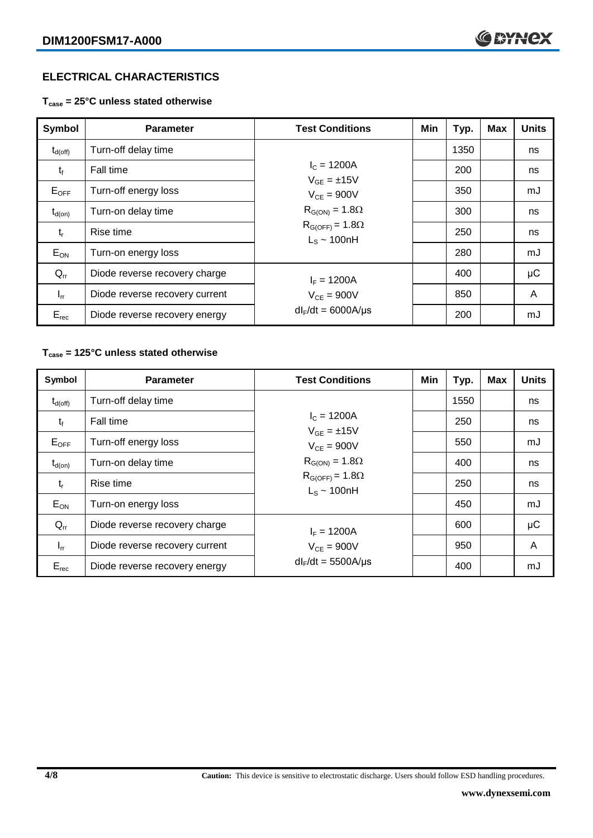# **ELECTRICAL CHARACTERISTICS**

**Tcase = 25°C unless stated otherwise**

| Symbol              | <b>Parameter</b>               | <b>Test Conditions</b>                        | Min | Typ. | <b>Max</b> | <b>Units</b> |
|---------------------|--------------------------------|-----------------------------------------------|-----|------|------------|--------------|
| $t_{d(\text{off})}$ | Turn-off delay time            |                                               |     | 1350 |            | ns           |
| $t_{f}$             | Fall time                      | $I_c = 1200A$<br>$V_{GF} = \pm 15V$           |     | 200  |            | ns           |
| $E_{\mathsf{OFF}}$  | Turn-off energy loss           | $V_{CF} = 900V$<br>$R_{G(ON)} = 1.8\Omega$    |     | 350  |            | mJ           |
| $t_{d(on)}$         | Turn-on delay time             |                                               |     | 300  |            | ns           |
| $t_{r}$             | Rise time                      | $R_{G(OFF)} = 1.8\Omega$<br>$L_s \sim 100$ nH |     | 250  |            | ns           |
| $E_{ON}$            | Turn-on energy loss            |                                               |     | 280  |            | mJ           |
| $Q_{rr}$            | Diode reverse recovery charge  | $I_F = 1200A$                                 |     | 400  |            | μC           |
| $I_{rr}$            | Diode reverse recovery current | $V_{CF} = 900V$                               |     | 850  |            | A            |
| $E_{rec}$           | Diode reverse recovery energy  | $dl_F/dt = 6000A/\mu s$                       |     | 200  |            | mJ           |

#### **Tcase = 125°C unless stated otherwise**

| Symbol              | <b>Parameter</b>               | <b>Test Conditions</b>                       | Min | Typ. | <b>Max</b> | <b>Units</b> |
|---------------------|--------------------------------|----------------------------------------------|-----|------|------------|--------------|
| $t_{d(\text{off})}$ | Turn-off delay time            |                                              |     | 1550 |            | ns           |
| $t_{f}$             | Fall time                      | $I_c = 1200A$<br>$V_{GF} = \pm 15V$          |     | 250  |            | ns           |
| $E_{OFF}$           | Turn-off energy loss           | $V_{CF} = 900V$<br>$R_{G(ON)} = 1.8\Omega$   |     | 550  |            | mJ           |
| $t_{d(on)}$         | Turn-on delay time             |                                              |     | 400  |            | ns           |
| $t_{r}$             | Rise time                      | $R_{G(OFF)} = 1.8\Omega$<br>$L_s \sim 100nH$ |     | 250  |            | ns           |
| $E_{ON}$            | Turn-on energy loss            |                                              |     | 450  |            | mJ           |
| $Q_{rr}$            | Diode reverse recovery charge  | $I_F = 1200A$                                |     | 600  |            | μC           |
| $I_{rr}$            | Diode reverse recovery current | $V_{CE}$ = 900V                              |     | 950  |            | A            |
| $E_{rec}$           | Diode reverse recovery energy  | $dl_F/dt = 5500A/\mu s$                      |     | 400  |            | mJ           |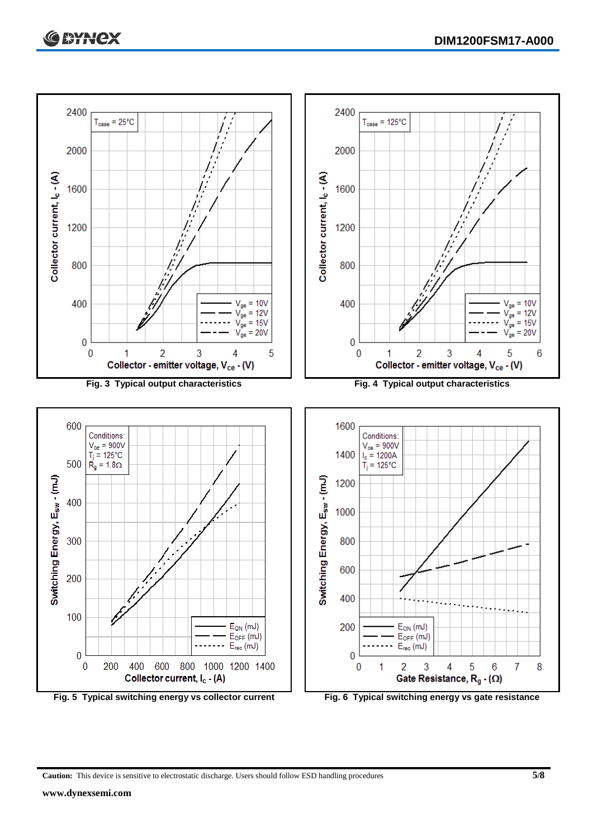

**Caution:** This device is sensitive to electrostatic discharge. Users should follow ESD handling procedures **5/8**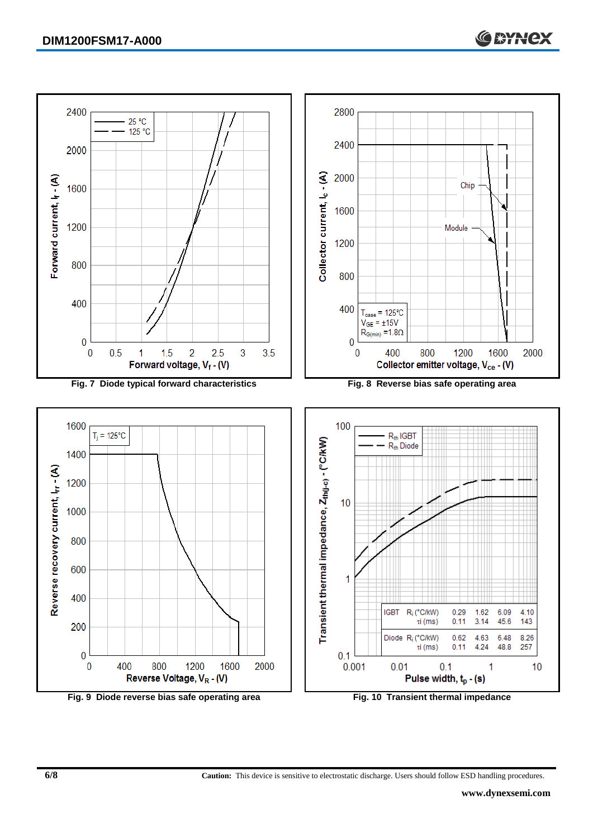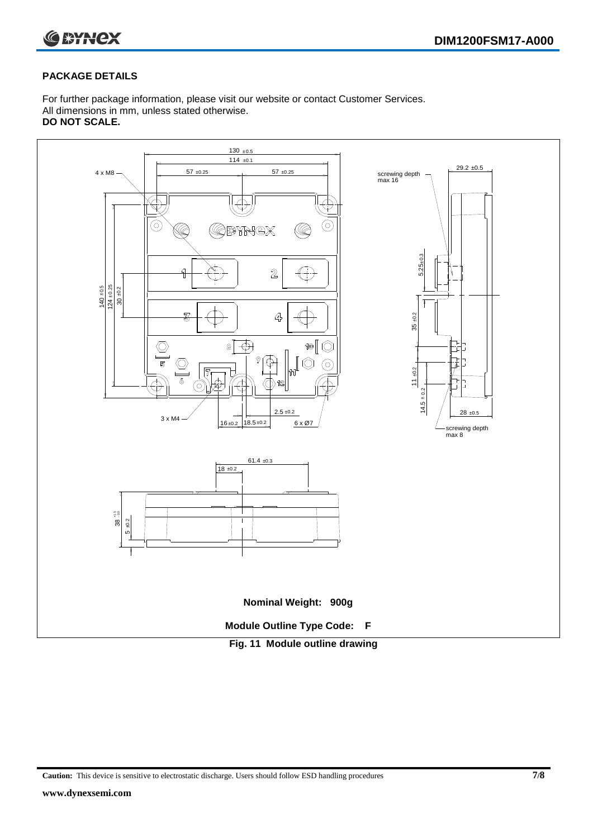

#### **PACKAGE DETAILS**

For further package information, please visit our website or contact Customer Services. All dimensions in mm, unless stated otherwise. **DO NOT SCALE.**



**Caution:** This device is sensitive to electrostatic discharge. Users should follow ESD handling procedures **7/8**